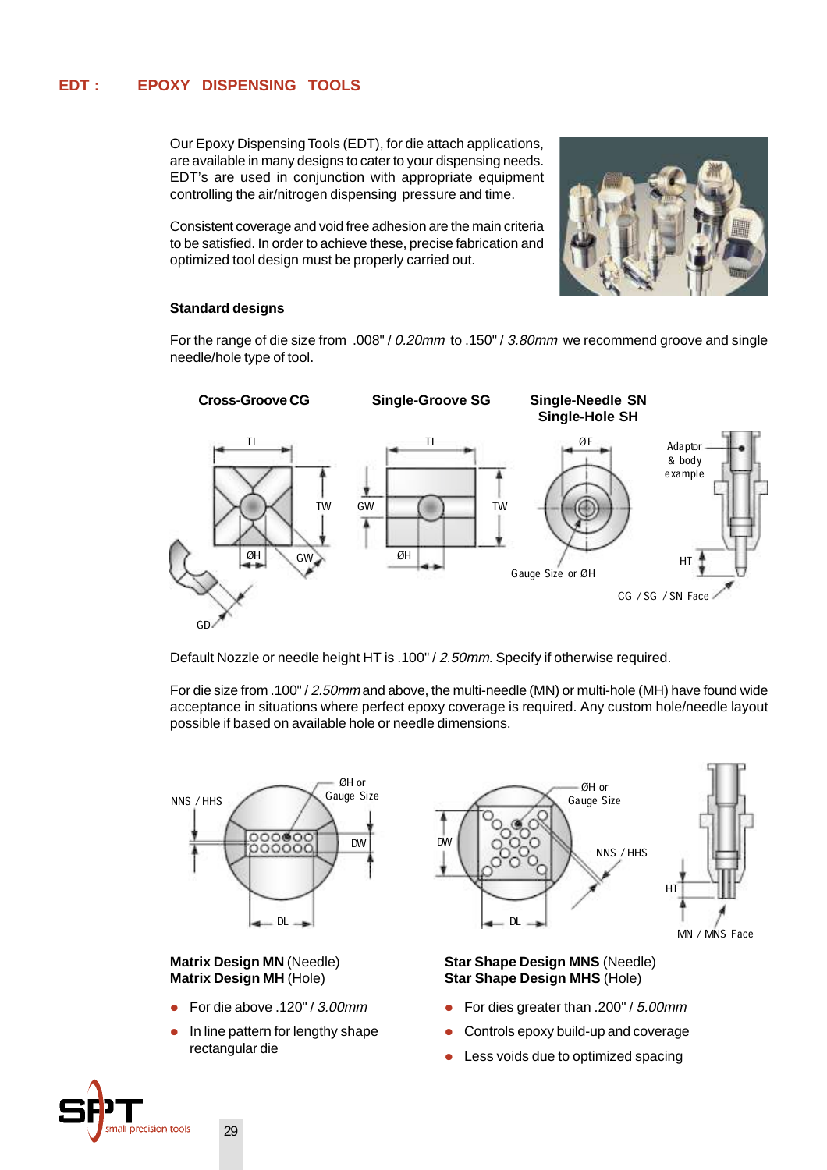Our Epoxy Dispensing Tools (EDT), for die attach applications, are available in many designs to cater to your dispensing needs. EDT's are used in conjunction with appropriate equipment controlling the air/nitrogen dispensing pressure and time.

Consistent coverage and void free adhesion are the main criteria to be satisfied. In order to achieve these, precise fabrication and optimized tool design must be properly carried out.



### **Standard designs**

For the range of die size from .008" / 0.20mm to .150" / 3.80mm we recommend groove and single needle/hole type of tool.



Default Nozzle or needle height HT is .100" / 2.50mm. Specify if otherwise required.

For die size from .100" / 2.50mm and above, the multi-needle (MN) or multi-hole (MH) have found wide acceptance in situations where perfect epoxy coverage is required. Any custom hole/needle layout possible if based on available hole or needle dimensions.



### **Matrix Design MN** (Needle) **Matrix Design MH** (Hole)

- For die above .120" / 3.00mm
- In line pattern for lengthy shape rectangular die



### **Star Shape Design MNS** (Needle) **Star Shape Design MHS** (Hole)

- For dies greater than .200" / 5.00mm
- Controls epoxy build-up and coverage
- Less voids due to optimized spacing

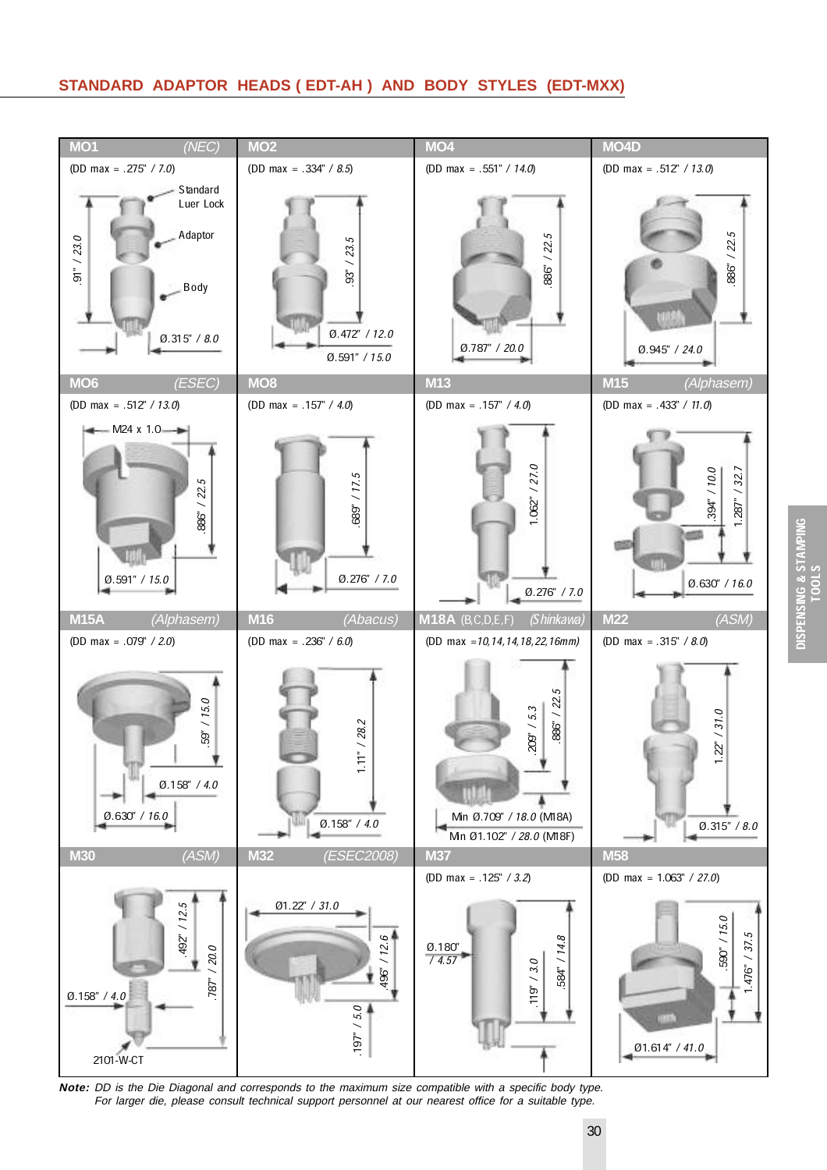# **STANDARD ADAPTOR HEADS ( EDT-AH ) AND BODY STYLES (EDT-MXX)**



**Note:** DD is the Die Diagonal and corresponds to the maximum size compatible with a specific body type. For larger die, please consult technical support personnel at our nearest office for a suitable type.